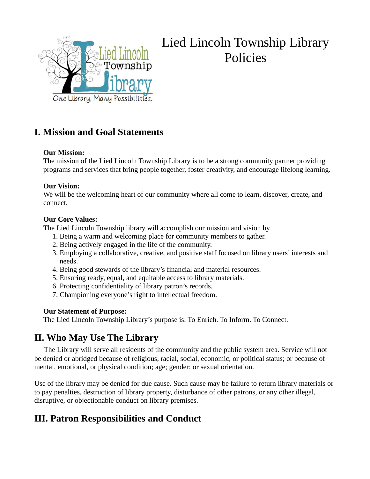

# Lied Lincoln Township Library Policies

One Library, Many Possibilities.

# **I. Mission and Goal Statements**

#### **Our Mission:**

 The mission of the Lied Lincoln Township Library is to be a strong community partner providing programs and services that bring people together, foster creativity, and encourage lifelong learning.

#### **Our Vision:**

 We will be the welcoming heart of our community where all come to learn, discover, create, and connect.

#### **Our Core Values:**

The Lied Lincoln Township library will accomplish our mission and vision by

- 1. Being a warm and welcoming place for community members to gather.
- 2. Being actively engaged in the life of the community.
- 3. Employing a collaborative, creative, and positive staff focused on library users' interests and needs.
- 4. Being good stewards of the library's financial and material resources.
- 5. Ensuring ready, equal, and equitable access to library materials.
- 6. Protecting confidentiality of library patron's records.
- 7. Championing everyone's right to intellectual freedom.

#### **Our Statement of Purpose:**

The Lied Lincoln Township Library's purpose is: To Enrich. To Inform. To Connect.

### **II. Who May Use The Library**

The Library will serve all residents of the community and the public system area. Service will not be denied or abridged because of religious, racial, social, economic, or political status; or because of mental, emotional, or physical condition; age; gender; or sexual orientation.

Use of the library may be denied for due cause. Such cause may be failure to return library materials or to pay penalties, destruction of library property, disturbance of other patrons, or any other illegal, disruptive, or objectionable conduct on library premises.

# **III. Patron Responsibilities and Conduct**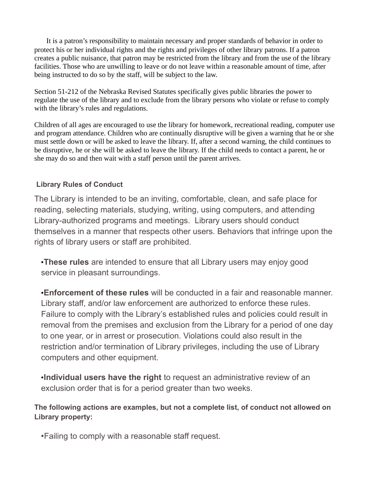It is a patron's responsibility to maintain necessary and proper standards of behavior in order to protect his or her individual rights and the rights and privileges of other library patrons. If a patron creates a public nuisance, that patron may be restricted from the library and from the use of the library facilities. Those who are unwilling to leave or do not leave within a reasonable amount of time, after being instructed to do so by the staff, will be subject to the law.

Section 51-212 of the Nebraska Revised Statutes specifically gives public libraries the power to regulate the use of the library and to exclude from the library persons who violate or refuse to comply with the library's rules and regulations.

Children of all ages are encouraged to use the library for homework, recreational reading, computer use and program attendance. Children who are continually disruptive will be given a warning that he or she must settle down or will be asked to leave the library. If, after a second warning, the child continues to be disruptive, he or she will be asked to leave the library. If the child needs to contact a parent, he or she may do so and then wait with a staff person until the parent arrives.

#### **Library Rules of Conduct**

The Library is intended to be an inviting, comfortable, clean, and safe place for reading, selecting materials, studying, writing, using computers, and attending Library-authorized programs and meetings. Library users should conduct themselves in a manner that respects other users. Behaviors that infringe upon the rights of library users or staff are prohibited.

•**These rules** are intended to ensure that all Library users may enjoy good service in pleasant surroundings.

•**Enforcement of these rules** will be conducted in a fair and reasonable manner. Library staff, and/or law enforcement are authorized to enforce these rules. Failure to comply with the Library's established rules and policies could result in removal from the premises and exclusion from the Library for a period of one day to one year, or in arrest or prosecution. Violations could also result in the restriction and/or termination of Library privileges, including the use of Library computers and other equipment.

•**Individual users have the right** to request an administrative review of an exclusion order that is for a period greater than two weeks.

#### **The following actions are examples, but not a complete list, of conduct not allowed on Library property:**

•Failing to comply with a reasonable staff request.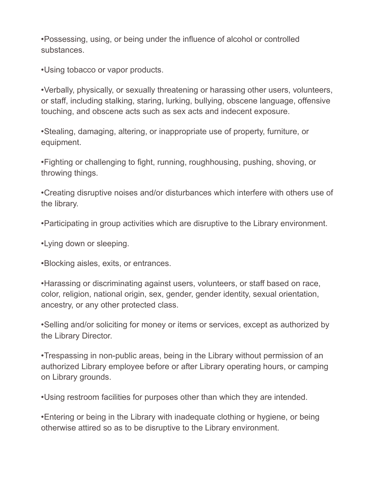•Possessing, using, or being under the influence of alcohol or controlled substances.

•Using tobacco or vapor products.

•Verbally, physically, or sexually threatening or harassing other users, volunteers, or staff, including stalking, staring, lurking, bullying, obscene language, offensive touching, and obscene acts such as sex acts and indecent exposure.

•Stealing, damaging, altering, or inappropriate use of property, furniture, or equipment.

•Fighting or challenging to fight, running, roughhousing, pushing, shoving, or throwing things.

•Creating disruptive noises and/or disturbances which interfere with others use of the library.

•Participating in group activities which are disruptive to the Library environment.

•Lying down or sleeping.

•Blocking aisles, exits, or entrances.

•Harassing or discriminating against users, volunteers, or staff based on race, color, religion, national origin, sex, gender, gender identity, sexual orientation, ancestry, or any other protected class.

•Selling and/or soliciting for money or items or services, except as authorized by the Library Director.

•Trespassing in non-public areas, being in the Library without permission of an authorized Library employee before or after Library operating hours, or camping on Library grounds.

•Using restroom facilities for purposes other than which they are intended.

•Entering or being in the Library with inadequate clothing or hygiene, or being otherwise attired so as to be disruptive to the Library environment.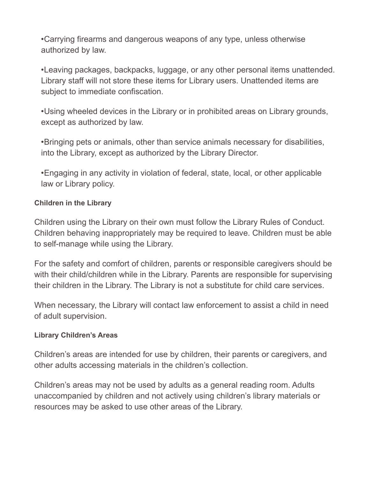•Carrying firearms and dangerous weapons of any type, unless otherwise authorized by law.

•Leaving packages, backpacks, luggage, or any other personal items unattended. Library staff will not store these items for Library users. Unattended items are subject to immediate confiscation.

•Using wheeled devices in the Library or in prohibited areas on Library grounds, except as authorized by law.

•Bringing pets or animals, other than service animals necessary for disabilities, into the Library, except as authorized by the Library Director.

•Engaging in any activity in violation of federal, state, local, or other applicable law or Library policy.

#### **Children in the Library**

Children using the Library on their own must follow the Library Rules of Conduct. Children behaving inappropriately may be required to leave. Children must be able to self-manage while using the Library.

For the safety and comfort of children, parents or responsible caregivers should be with their child/children while in the Library. Parents are responsible for supervising their children in the Library. The Library is not a substitute for child care services.

When necessary, the Library will contact law enforcement to assist a child in need of adult supervision.

#### **Library Children's Areas**

Children's areas are intended for use by children, their parents or caregivers, and other adults accessing materials in the children's collection.

Children's areas may not be used by adults as a general reading room. Adults unaccompanied by children and not actively using children's library materials or resources may be asked to use other areas of the Library.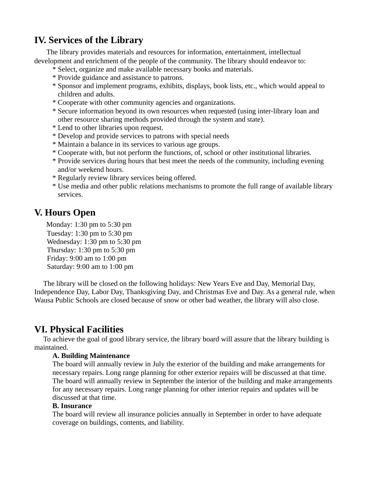# **IV. Services of the Library**

The library provides materials and resources for information, entertainment, intellectual development and enrichment of the people of the community. The library should endeavor to:

- \* Select, organize and make available necessary books and materials.
- \* Provide guidance and assistance to patrons.
- \* Sponsor and implement programs, exhibits, displays, book lists, etc., which would appeal to children and adults.
- \* Cooperate with other community agencies and organizations.
- \* Secure information beyond its own resources when requested (using inter-library loan and other resource sharing methods provided through the system and state).
- \* Lend to other libraries upon request.
- \* Develop and provide services to patrons with special needs
- \* Maintain a balance in its services to various age groups.
- \* Cooperate with, but not perform the functions, of, school or other institutional libraries.
- \* Provide services during hours that best meet the needs of the community, including evening and/or weekend hours.
- \* Regularly review library services being offered.
- \* Use media and other public relations mechanisms to promote the full range of available library services.

## **V. Hours Open**

Monday: 1:30 pm to 5:30 pm Tuesday: 1:30 pm to 5:30 pm Wednesday: 1:30 pm to 5:30 pm Thursday: 1:30 pm to 5:30 pm Friday: 9:00 am to 1:00 pm Saturday: 9:00 am to 1:00 pm

 The library will be closed on the following holidays: New Years Eve and Day, Memorial Day, Independence Day, Labor Day, Thanksgiving Day, and Christmas Eve and Day. As a general rule, when Wausa Public Schools are closed because of snow or other bad weather, the library will also close.

# **VI. Physical Facilities**

 To achieve the goal of good library service, the library board will assure that the library building is maintained.

#### **A. Building Maintenance**

The board will annually review in July the exterior of the building and make arrangements for necessary repairs. Long range planning for other exterior repairs will be discussed at that time. The board will annually review in September the interior of the building and make arrangements for any necessary repairs. Long range planning for other interior repairs and updates will be discussed at that time.

#### **B. Insurance**

 The board will review all insurance policies annually in September in order to have adequate coverage on buildings, contents, and liability.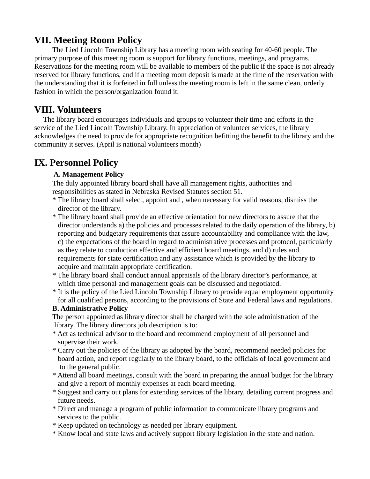### **VII. Meeting Room Policy**

 The Lied Lincoln Township Library has a meeting room with seating for 40-60 people. The primary purpose of this meeting room is support for library functions, meetings, and programs. Reservations for the meeting room will be available to members of the public if the space is not already reserved for library functions, and if a meeting room deposit is made at the time of the reservation with the understanding that it is forfeited in full unless the meeting room is left in the same clean, orderly fashion in which the person/organization found it.

### **VIII. Volunteers**

 The library board encourages individuals and groups to volunteer their time and efforts in the service of the Lied Lincoln Township Library. In appreciation of volunteer services, the library acknowledges the need to provide for appropriate recognition befitting the benefit to the library and the community it serves. (April is national volunteers month)

# **IX. Personnel Policy**

#### **A. Management Policy**

The duly appointed library board shall have all management rights, authorities and responsibilities as stated in Nebraska Revised Statutes section 51.

- \* The library board shall select, appoint and , when necessary for valid reasons, dismiss the director of the library.
- \* The library board shall provide an effective orientation for new directors to assure that the director understands a) the policies and processes related to the daily operation of the library, b) reporting and budgetary requirements that assure accountability and compliance with the law, c) the expectations of the board in regard to administrative processes and protocol, particularly as they relate to conduction effective and efficient board meetings, and d) rules and requirements for state certification and any assistance which is provided by the library to acquire and maintain appropriate certification.
- \* The library board shall conduct annual appraisals of the library director's performance, at which time personal and management goals can be discussed and negotiated.
- \* It is the policy of the Lied Lincoln Township Library to provide equal employment opportunity for all qualified persons, according to the provisions of State and Federal laws and regulations.

#### **B. Administrative Policy**

 The person appointed as library director shall be charged with the sole administration of the library. The library directors job description is to:

- \* Act as technical advisor to the board and recommend employment of all personnel and supervise their work.
- \* Carry out the policies of the library as adopted by the board, recommend needed policies for board action, and report regularly to the library board, to the officials of local government and to the general public.
- \* Attend all board meetings, consult with the board in preparing the annual budget for the library and give a report of monthly expenses at each board meeting.
- \* Suggest and carry out plans for extending services of the library, detailing current progress and future needs.
- \* Direct and manage a program of public information to communicate library programs and services to the public.
- \* Keep updated on technology as needed per library equipment.
- \* Know local and state laws and actively support library legislation in the state and nation.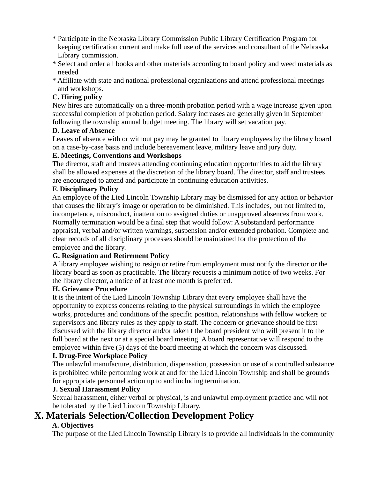- \* Participate in the Nebraska Library Commission Public Library Certification Program for keeping certification current and make full use of the services and consultant of the Nebraska Library commission.
- \* Select and order all books and other materials according to board policy and weed materials as needed
- \* Affiliate with state and national professional organizations and attend professional meetings and workshops.

#### **C. Hiring policy**

 New hires are automatically on a three-month probation period with a wage increase given upon successful completion of probation period. Salary increases are generally given in September following the township annual budget meeting. The library will set vacation pay.

#### **D. Leave of Absence**

Leaves of absence with or without pay may be granted to library employees by the library board on a case-by-case basis and include bereavement leave, military leave and jury duty.

#### **E. Meetings, Conventions and Workshops**

The director, staff and trustees attending continuing education opportunities to aid the library shall be allowed expenses at the discretion of the library board. The director, staff and trustees are encouraged to attend and participate in continuing education activities.

#### **F. Disciplinary Policy**

 An employee of the Lied Lincoln Township Library may be dismissed for any action or behavior that causes the library's image or operation to be diminished. This includes, but not limited to, incompetence, misconduct, inattention to assigned duties or unapproved absences from work. Normally termination would be a final step that would follow: A substandard performance appraisal, verbal and/or written warnings, suspension and/or extended probation. Complete and clear records of all disciplinary processes should be maintained for the protection of the employee and the library.

#### **G. Resignation and Retirement Policy**

A library employee wishing to resign or retire from employment must notify the director or the library board as soon as practicable. The library requests a minimum notice of two weeks. For the library director, a notice of at least one month is preferred.

#### **H. Grievance Procedure**

It is the intent of the Lied Lincoln Township Library that every employee shall have the opportunity to express concerns relating to the physical surroundings in which the employee works, procedures and conditions of the specific position, relationships with fellow workers or supervisors and library rules as they apply to staff. The concern or grievance should be first discussed with the library director and/or taken t the board president who will present it to the full board at the next or at a special board meeting. A board representative will respond to the employee within five (5) days of the board meeting at which the concern was discussed.

#### **I. Drug-Free Workplace Policy**

The unlawful manufacture, distribution, dispensation, possession or use of a controlled substance is prohibited while performing work at and for the Lied Lincoln Township and shall be grounds for appropriate personnel action up to and including termination.

#### **J. Sexual Harassment Policy**

Sexual harassment, either verbal or physical, is and unlawful employment practice and will not be tolerated by the Lied Lincoln Township Library.

### **X. Materials Selection/Collection Development Policy**

#### **A. Objectives**

The purpose of the Lied Lincoln Township Library is to provide all individuals in the community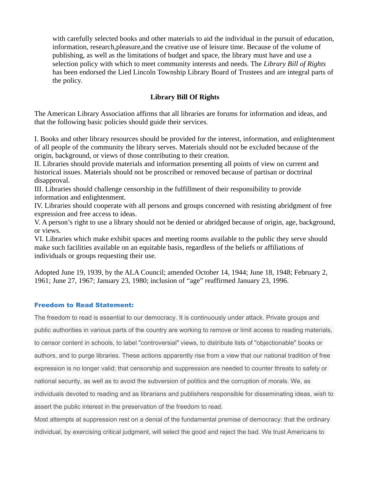with carefully selected books and other materials to aid the individual in the pursuit of education, information, research,pleasure,and the creative use of leisure time. Because of the volume of publishing, as well as the limitations of budget and space, the library must have and use a selection policy with which to meet community interests and needs. The *Library Bill of Rights* has been endorsed the Lied Lincoln Township Library Board of Trustees and are integral parts of the policy.

#### **Library Bill Of Rights**

The American Library Association affirms that all libraries are forums for information and ideas, and that the following basic policies should guide their services.

I. Books and other library resources should be provided for the interest, information, and enlightenment of all people of the community the library serves. Materials should not be excluded because of the origin, background, or views of those contributing to their creation.

II. Libraries should provide materials and information presenting all points of view on current and historical issues. Materials should not be proscribed or removed because of partisan or doctrinal disapproval.

III. Libraries should challenge censorship in the fulfillment of their responsibility to provide information and enlightenment.

IV. Libraries should cooperate with all persons and groups concerned with resisting abridgment of free expression and free access to ideas.

V. A person's right to use a library should not be denied or abridged because of origin, age, background, or views.

VI. Libraries which make exhibit spaces and meeting rooms available to the public they serve should make such facilities available on an equitable basis, regardless of the beliefs or affiliations of individuals or groups requesting their use.

Adopted June 19, 1939, by the ALA Council; amended October 14, 1944; June 18, 1948; February 2, 1961; June 27, 1967; January 23, 1980; inclusion of "age" reaffirmed January 23, 1996.

#### Freedom to Read Statement:

The freedom to read is essential to our democracy. It is continuously under attack. Private groups and

public authorities in various parts of the country are working to remove or limit access to reading materials,

to censor content in schools, to label "controversial" views, to distribute lists of "objectionable" books or

authors, and to purge libraries. These actions apparently rise from a view that our national tradition of free

expression is no longer valid; that censorship and suppression are needed to counter threats to safety or

national security, as well as to avoid the subversion of politics and the corruption of morals. We, as

individuals devoted to reading and as librarians and publishers responsible for disseminating ideas, wish to

assert the public interest in the preservation of the freedom to read.

Most attempts at suppression rest on a denial of the fundamental premise of democracy: that the ordinary individual, by exercising critical judgment, will select the good and reject the bad. We trust Americans to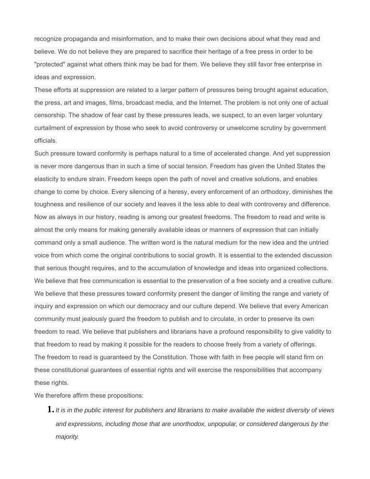recognize propaganda and misinformation, and to make their own decisions about what they read and believe. We do not believe they are prepared to sacrifice their heritage of a free press in order to be "protected" against what others think may be bad for them. We believe they still favor free enterprise in ideas and expression.

These efforts at suppression are related to a larger pattern of pressures being brought against education, the press, art and images, films, broadcast media, and the Internet. The problem is not only one of actual censorship. The shadow of fear cast by these pressures leads, we suspect, to an even larger voluntary curtailment of expression by those who seek to avoid controversy or unwelcome scrutiny by government officials.

Such pressure toward conformity is perhaps natural to a time of accelerated change. And yet suppression is never more dangerous than in such a time of social tension. Freedom has given the United States the elasticity to endure strain. Freedom keeps open the path of novel and creative solutions, and enables change to come by choice. Every silencing of a heresy, every enforcement of an orthodoxy, diminishes the toughness and resilience of our society and leaves it the less able to deal with controversy and difference. Now as always in our history, reading is among our greatest freedoms. The freedom to read and write is almost the only means for making generally available ideas or manners of expression that can initially command only a small audience. The written word is the natural medium for the new idea and the untried voice from which come the original contributions to social growth. It is essential to the extended discussion that serious thought requires, and to the accumulation of knowledge and ideas into organized collections. We believe that free communication is essential to the preservation of a free society and a creative culture. We believe that these pressures toward conformity present the danger of limiting the range and variety of inquiry and expression on which our democracy and our culture depend. We believe that every American community must jealously guard the freedom to publish and to circulate, in order to preserve its own freedom to read. We believe that publishers and librarians have a profound responsibility to give validity to that freedom to read by making it possible for the readers to choose freely from a variety of offerings. The freedom to read is guaranteed by the Constitution. Those with faith in free people will stand firm on these constitutional guarantees of essential rights and will exercise the responsibilities that accompany these rights.

We therefore affirm these propositions:

**1.** *It is in the public interest for publishers and librarians to make available the widest diversity of views and expressions, including those that are unorthodox, unpopular, or considered dangerous by the majority.*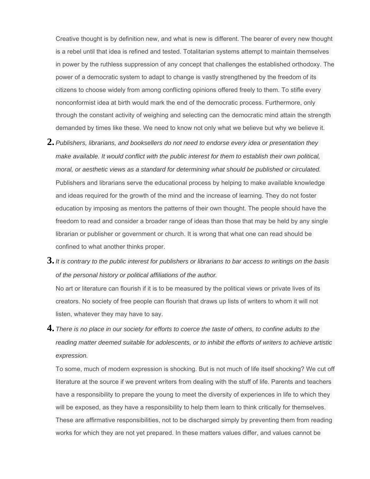Creative thought is by definition new, and what is new is different. The bearer of every new thought is a rebel until that idea is refined and tested. Totalitarian systems attempt to maintain themselves in power by the ruthless suppression of any concept that challenges the established orthodoxy. The power of a democratic system to adapt to change is vastly strengthened by the freedom of its citizens to choose widely from among conflicting opinions offered freely to them. To stifle every nonconformist idea at birth would mark the end of the democratic process. Furthermore, only through the constant activity of weighing and selecting can the democratic mind attain the strength demanded by times like these. We need to know not only what we believe but why we believe it.

- **2.** *Publishers, librarians, and booksellers do not need to endorse every idea or presentation they make available. It would conflict with the public interest for them to establish their own political, moral, or aesthetic views as a standard for determining what should be published or circulated.* Publishers and librarians serve the educational process by helping to make available knowledge and ideas required for the growth of the mind and the increase of learning. They do not foster education by imposing as mentors the patterns of their own thought. The people should have the freedom to read and consider a broader range of ideas than those that may be held by any single librarian or publisher or government or church. It is wrong that what one can read should be confined to what another thinks proper.
- **3.** *It is contrary to the public interest for publishers or librarians to bar access to writings on the basis of the personal history or political affiliations of the author.*

No art or literature can flourish if it is to be measured by the political views or private lives of its creators. No society of free people can flourish that draws up lists of writers to whom it will not listen, whatever they may have to say.

**4.** *There is no place in our society for efforts to coerce the taste of others, to confine adults to the reading matter deemed suitable for adolescents, or to inhibit the efforts of writers to achieve artistic expression.*

To some, much of modern expression is shocking. But is not much of life itself shocking? We cut off literature at the source if we prevent writers from dealing with the stuff of life. Parents and teachers have a responsibility to prepare the young to meet the diversity of experiences in life to which they will be exposed, as they have a responsibility to help them learn to think critically for themselves. These are affirmative responsibilities, not to be discharged simply by preventing them from reading works for which they are not yet prepared. In these matters values differ, and values cannot be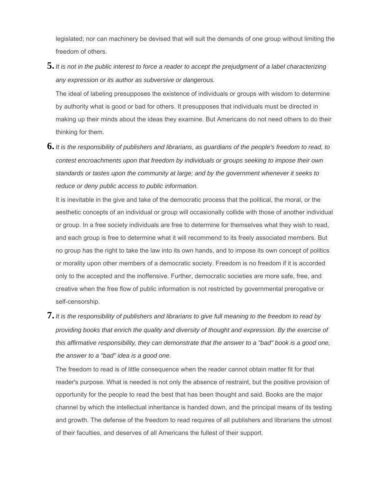legislated; nor can machinery be devised that will suit the demands of one group without limiting the freedom of others.

**5.** *It is not in the public interest to force a reader to accept the prejudgment of a label characterizing any expression or its author as subversive or dangerous.*

The ideal of labeling presupposes the existence of individuals or groups with wisdom to determine by authority what is good or bad for others. It presupposes that individuals must be directed in making up their minds about the ideas they examine. But Americans do not need others to do their thinking for them.

**6.** *It is the responsibility of publishers and librarians, as guardians of the people's freedom to read, to contest encroachments upon that freedom by individuals or groups seeking to impose their own standards or tastes upon the community at large; and by the government whenever it seeks to reduce or deny public access to public information.*

It is inevitable in the give and take of the democratic process that the political, the moral, or the aesthetic concepts of an individual or group will occasionally collide with those of another individual or group. In a free society individuals are free to determine for themselves what they wish to read, and each group is free to determine what it will recommend to its freely associated members. But no group has the right to take the law into its own hands, and to impose its own concept of politics or morality upon other members of a democratic society. Freedom is no freedom if it is accorded only to the accepted and the inoffensive. Further, democratic societies are more safe, free, and creative when the free flow of public information is not restricted by governmental prerogative or self-censorship.

**7.** *It is the responsibility of publishers and librarians to give full meaning to the freedom to read by providing books that enrich the quality and diversity of thought and expression. By the exercise of this affirmative responsibility, they can demonstrate that the answer to a "bad" book is a good one, the answer to a "bad" idea is a good one.*

The freedom to read is of little consequence when the reader cannot obtain matter fit for that reader's purpose. What is needed is not only the absence of restraint, but the positive provision of opportunity for the people to read the best that has been thought and said. Books are the major channel by which the intellectual inheritance is handed down, and the principal means of its testing and growth. The defense of the freedom to read requires of all publishers and librarians the utmost of their faculties, and deserves of all Americans the fullest of their support.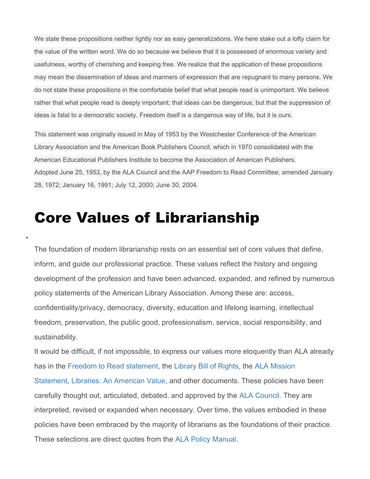We state these propositions neither lightly nor as easy generalizations. We here stake out a lofty claim for the value of the written word. We do so because we believe that it is possessed of enormous variety and usefulness, worthy of cherishing and keeping free. We realize that the application of these propositions may mean the dissemination of ideas and manners of expression that are repugnant to many persons. We do not state these propositions in the comfortable belief that what people read is unimportant. We believe rather that what people read is deeply important; that ideas can be dangerous; but that the suppression of ideas is fatal to a democratic society. Freedom itself is a dangerous way of life, but it is ours.

This statement was originally issued in May of 1953 by the Westchester Conference of the American Library Association and the American Book Publishers Council, which in 1970 consolidated with the American Educational Publishers Institute to become the Association of American Publishers. Adopted June 25, 1953, by the ALA Council and the AAP Freedom to Read Committee; amended January 28, 1972; January 16, 1991; July 12, 2000; June 30, 2004.

# Core Values of Librarianship

•

The foundation of modern librarianship rests on an essential set of core values that define, inform, and guide our professional practice. These values reflect the history and ongoing development of the profession and have been advanced, expanded, and refined by numerous policy statements of the American Library Association. Among these are: access, confidentiality/privacy, democracy, diversity, education and lifelong learning, intellectual freedom, preservation, the public good, professionalism, service, social responsibility, and sustainability.

It would be difficult, if not impossible, to express our values more eloquently than ALA already has in the [Freedom to Read statement,](https://www.ala.org/advocacy/intfreedom/freedomreadstatement) the [Library Bill of Rights](https://www.ala.org/advocacy/intfreedom/librarybill), the [ALA Mission](http://www.ala.org/aboutala/)  [Statement](http://www.ala.org/aboutala/), [Libraries: An American Value,](https://www.ala.org/advocacy/intfreedom/americanvalue) and other documents. These policies have been carefully thought out, articulated, debated, and approved by the [ALA Council](http://www.ala.org/aboutala/governance/council). They are interpreted, revised or expanded when necessary. Over time, the values embodied in these policies have been embraced by the majority of librarians as the foundations of their practice. These selections are direct quotes from the [ALA Policy Manual](https://www.ala.org/aboutala/governance/policymanual).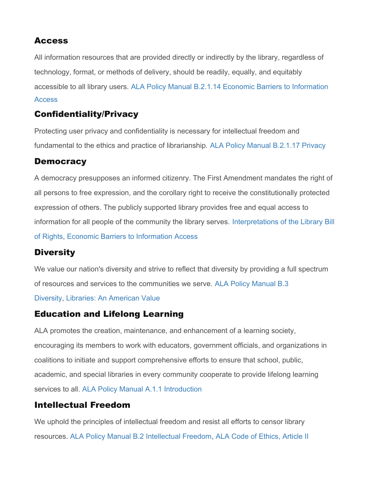### **Access**

All information resources that are provided directly or indirectly by the library, regardless of technology, format, or methods of delivery, should be readily, equally, and equitably accessible to all library users. [ALA Policy Manual](http://www.ala.org/aboutala/governance/policymanual/updatedpolicymanual/section2/53intellfreedom#B.2.1.14) [B.2.1.14 Economic Barriers to Information](http://www.ala.org/aboutala/governance/policymanual/updatedpolicymanual/section2/53intellfreedom#B.2.1.15)  [Access](http://www.ala.org/aboutala/governance/policymanual/updatedpolicymanual/section2/53intellfreedom#B.2.1.15)

### Confidentiality/Privacy

Protecting user privacy and confidentiality is necessary for intellectual freedom and fundamental to the ethics and practice of librarianship. [ALA Policy Manual](http://www.ala.org/aboutala/governance/policymanual/updatedpolicymanual/section2/53intellfreedom#B.2.1.17) [B.2.1.17 Privacy](http://www.ala.org/aboutala/governance/policymanual/updatedpolicymanual/section2/53intellfreedom#B.2.1.17)

### **Democracy**

A democracy presupposes an informed citizenry. The First Amendment mandates the right of all persons to free expression, and the corollary right to receive the constitutionally protected expression of others. The publicly supported library provides free and equal access to information for all people of the community the library serves. [Interpretations of the Library Bill](http://ala.org/advocacy/intfreedom/librarybill/interpretations) [of Rights](http://ala.org/advocacy/intfreedom/librarybill/interpretations), [Economic Barriers to Information Access](https://www.ala.org/advocacy/intfreedom/librarybill/interpretations/economicbarriers)

### **Diversity**

We value our nation's diversity and strive to reflect that diversity by providing a full spectrum of resources and services to the communities we serve. [ALA Policy Manual B.3](http://www.ala.org/aboutala/governance/policymanual/updatedpolicymanual/section2/3diversity) 

[Diversity,](http://www.ala.org/aboutala/governance/policymanual/updatedpolicymanual/section2/3diversity) [Libraries: An American Value](http://ala.org/advocacy/intfreedom/americanvalue)

### Education and Lifelong Learning

ALA promotes the creation, maintenance, and enhancement of a learning society, encouraging its members to work with educators, government officials, and organizations in coalitions to initiate and support comprehensive efforts to ensure that school, public, academic, and special libraries in every community cooperate to provide lifelong learning services to all. [ALA Policy Manual](http://www.ala.org/aboutala/governance/policymanual/updatedpolicymanual/section1/1mission) [A.1.1 Introduction](http://www.ala.org/aboutala/governance/policymanual/updatedpolicymanual/section1/1mission)

### Intellectual Freedom

We uphold the principles of intellectual freedom and resist all efforts to censor library resources. [ALA Policy Manual B.2 Intellectual Freedom](http://www.ala.org/aboutala/governance/policymanual/updatedpolicymanual/section2/53intellfreedom), [ALA Code of Ethics, Article II](http://ala.org/tools/ethics)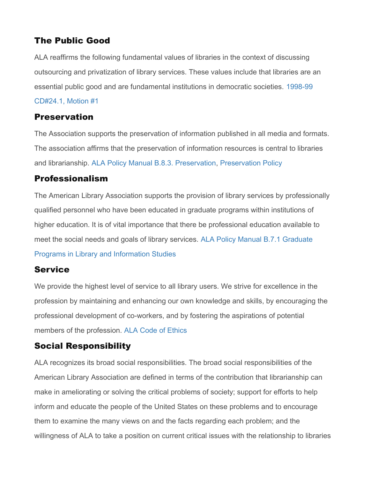### The Public Good

ALA reaffirms the following fundamental values of libraries in the context of discussing outsourcing and privatization of library services. These values include that libraries are an essential public good and are fundamental institutions in democratic societies. [1998-99](http://www.ala.org/tools/outsourcing/background)  [CD#24.1, Motion #1](http://www.ala.org/tools/outsourcing/background)

### **Preservation**

The Association supports the preservation of information published in all media and formats. The association affirms that the preservation of information resources is central to libraries and librarianship. [ALA Policy Manual B.8.3. Preservation,](http://www.ala.org/aboutala/governance/policymanual/updatedpolicymanual/section2/52libsvcsandrespon#B.8.3) [Preservation Policy](http://ala.org/alcts/resources/preserv/01alaprespolicy)

### Professionalism

The American Library Association supports the provision of library services by professionally qualified personnel who have been educated in graduate programs within institutions of higher education. It is of vital importance that there be professional education available to meet the social needs and goals of library services. [ALA Policy Manual B.7.1 Graduate](http://www.ala.org/aboutala/governance/policymanual/updatedpolicymanual/section2/56libeduc#B.7.1)  [Programs in Library and Information Studies](http://www.ala.org/aboutala/governance/policymanual/updatedpolicymanual/section2/56libeduc#B.7.1)

### **Service**

We provide the highest level of service to all library users. We strive for excellence in the profession by maintaining and enhancing our own knowledge and skills, by encouraging the professional development of co-workers, and by fostering the aspirations of potential members of the profession. [ALA Code of Ethics](http://ala.org/tools/ethics)

### Social Responsibility

ALA recognizes its broad social responsibilities. The broad social responsibilities of the American Library Association are defined in terms of the contribution that librarianship can make in ameliorating or solving the critical problems of society; support for efforts to help inform and educate the people of the United States on these problems and to encourage them to examine the many views on and the facts regarding each problem; and the willingness of ALA to take a position on current critical issues with the relationship to libraries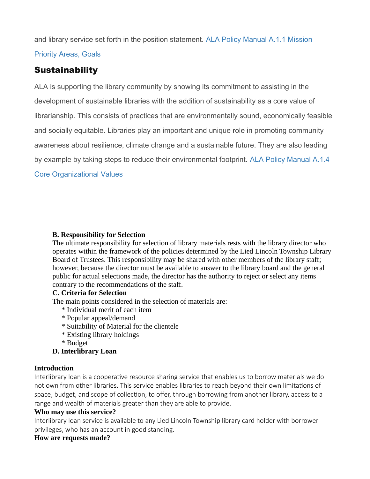and library service set forth in the position statement. [ALA Policy Manual A.1.1 Mission](http://www.ala.org/aboutala/governance/policymanual/updatedpolicymanual/section1/1mission) 

#### [Priority Areas, Goals](http://www.ala.org/aboutala/governance/policymanual/updatedpolicymanual/section1/1mission)

### **Sustainability**

ALA is supporting the library community by showing its commitment to assisting in the development of sustainable libraries with the addition of sustainability as a core value of librarianship. This consists of practices that are environmentally sound, economically feasible and socially equitable. Libraries play an important and unique role in promoting community awareness about resilience, climate change and a sustainable future. They are also leading by example by taking steps to reduce their environmental footprint. [ALA Policy Manual A.1.4](http://www.ala.org/aboutala/governance/policymanual/updatedpolicymanual/section1/1mission#A.1.4%20Core%20Organizational%20Values%20(Old%20Number%201.3.1)) 

#### [Core Organizational Values](http://www.ala.org/aboutala/governance/policymanual/updatedpolicymanual/section1/1mission#A.1.4%20Core%20Organizational%20Values%20(Old%20Number%201.3.1))

#### **B. Responsibility for Selection**

The ultimate responsibility for selection of library materials rests with the library director who operates within the framework of the policies determined by the Lied Lincoln Township Library Board of Trustees. This responsibility may be shared with other members of the library staff; however, because the director must be available to answer to the library board and the general public for actual selections made, the director has the authority to reject or select any items contrary to the recommendations of the staff.

#### **C. Criteria for Selection**

The main points considered in the selection of materials are:

- \* Individual merit of each item
- \* Popular appeal/demand
- \* Suitability of Material for the clientele
- \* Existing library holdings
- \* Budget

#### **D. Interlibrary Loan**

#### **Introduction**

Interlibrary loan is a cooperative resource sharing service that enables us to borrow materials we do not own from other libraries. This service enables libraries to reach beyond their own limitations of space, budget, and scope of collection, to offer, through borrowing from another library, access to a range and wealth of materials greater than they are able to provide.

#### **Who may use this service?**

Interlibrary loan service is available to any Lied Lincoln Township library card holder with borrower privileges, who has an account in good standing.

#### **How are requests made?**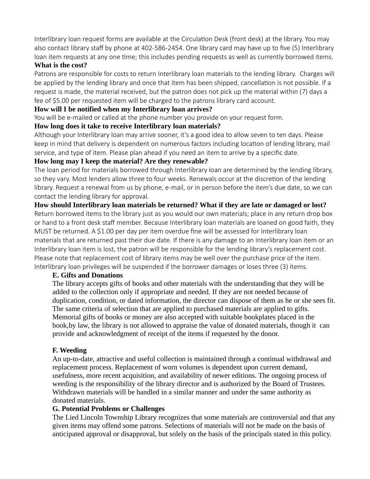Interlibrary loan request forms are available at the Circulation Desk (front desk) at the library. You may also contact library staff by phone at 402-586-2454. One library card may have up to five (5) Interlibrary loan item requests at any one time; this includes pending requests as well as currently borrowed items.

#### **What is the cost?**

Patrons are responsible for costs to return Interlibrary loan materials to the lending library. Charges will be applied by the lending library and once that item has been shipped, cancellation is not possible. If a request is made, the material received, but the patron does not pick up the material within (7) days a fee of \$5.00 per requested item will be charged to the patrons library card account.

#### **How will I be notified when my Interlibrary loan arrives?**

You will be e-mailed or called at the phone number you provide on your request form.

#### **How long does it take to receive Interlibrary loan materials?**

Although your Interlibrary loan may arrive sooner, it's a good idea to allow seven to ten days. Please keep in mind that delivery is dependent on numerous factors including location of lending library, mail service, and type of item. Please plan ahead if you need an item to arrive by a specific date.

#### **How long may I keep the material? Are they renewable?**

The loan period for materials borrowed through Interlibrary loan are determined by the lending library, so they vary. Most lenders allow three to four weeks. Renewals occur at the discretion of the lending library. Request a renewal from us by phone, e-mail, or in person before the item's due date, so we can contact the lending library for approval.

**How should Interlibrary loan materials be returned? What if they are late or damaged or lost?** Return borrowed items to the library just as you would our own materials; place in any return drop box or hand to a front desk staff member. Because Interlibrary loan materials are loaned on good faith, they MUST be returned. A \$1.00 per day per item overdue fine will be assessed for Interlibrary loan materials that are returned past their due date. If there is any damage to an Interlibrary loan item or an Interlibrary loan item is lost, the patron will be responsible for the lending library's replacement cost. Please note that replacement cost of library items may be well over the purchase price of the item. Interlibrary loan privileges will be suspended if the borrower damages or loses three (3) items.

#### **E. Gifts and Donations**

The library accepts gifts of books and other materials with the understanding that they will be added to the collection only if appropriate and needed. If they are not needed because of duplication, condition, or dated information, the director can dispose of them as he or she sees fit. The same criteria of selection that are applied to purchased materials are applied to gifts. Memorial gifts of books or money are also accepted with suitable bookplates placed in the book,by law, the library is not allowed to appraise the value of donated materials, though it can provide and acknowledgment of receipt of the items if requested by the donor.

#### **F. Weeding**

An up-to-date, attractive and useful collection is maintained through a continual withdrawal and replacement process. Replacement of worn volumes is dependent upon current demand, usefulness, more recent acquisition, and availability of newer editions. The ongoing process of weeding is the responsibility of the library director and is authorized by the Board of Trustees. Withdrawn materials will be handled in a similar manner and under the same authority as donated materials.

#### **G. Potential Problems or Challenges**

 The Lied Lincoln Township Library recognizes that some materials are controversial and that any given items may offend some patrons. Selections of materials will not be made on the basis of anticipated approval or disapproval, but solely on the basis of the principals stated in this policy.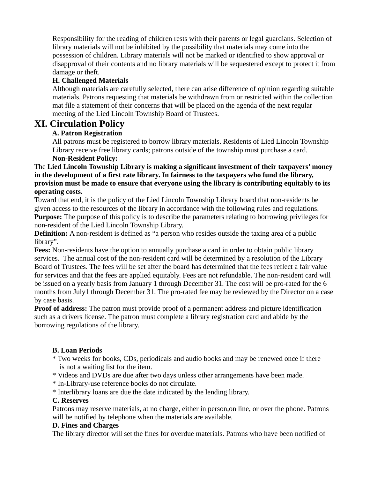Responsibility for the reading of children rests with their parents or legal guardians. Selection of library materials will not be inhibited by the possibility that materials may come into the possession of children. Library materials will not be marked or identified to show approval or disapproval of their contents and no library materials will be sequestered except to protect it from damage or theft.

#### **H. Challenged Materials**

Although materials are carefully selected, there can arise difference of opinion regarding suitable materials. Patrons requesting that materials be withdrawn from or restricted within the collection mat file a statement of their concerns that will be placed on the agenda of the next regular meeting of the Lied Lincoln Township Board of Trustees.

### **XI. Circulation Policy**

#### **A. Patron Registration**

All patrons must be registered to borrow library materials. Residents of Lied Lincoln Township Library receive free library cards; patrons outside of the township must purchase a card. **Non-Resident Policy:**

The **Lied Lincoln Township Library is making a significant investment of their taxpayers' money in the development of a first rate library. In fairness to the taxpayers who fund the library, provision must be made to ensure that everyone using the library is contributing equitably to its operating costs.**

Toward that end, it is the policy of the Lied Lincoln Township Library board that non-residents be given access to the resources of the library in accordance with the following rules and regulations. **Purpose:** The purpose of this policy is to describe the parameters relating to borrowing privileges for non-resident of the Lied Lincoln Township Library.

**Definition:** A non-resident is defined as "a person who resides outside the taxing area of a public library".

**Fees:** Non-residents have the option to annually purchase a card in order to obtain public library services. The annual cost of the non-resident card will be determined by a resolution of the Library Board of Trustees. The fees will be set after the board has determined that the fees reflect a fair value for services and that the fees are applied equitably. Fees are not refundable. The non-resident card will be issued on a yearly basis from January 1 through December 31. The cost will be pro-rated for the 6 months from July1 through December 31. The pro-rated fee may be reviewed by the Director on a case by case basis.

**Proof of address:** The patron must provide proof of a permanent address and picture identification such as a drivers license. The patron must complete a library registration card and abide by the borrowing regulations of the library.

#### **B. Loan Periods**

- \* Two weeks for books, CDs, periodicals and audio books and may be renewed once if there is not a waiting list for the item.
- \* Videos and DVDs are due after two days unless other arrangements have been made.
- \* In-Library-use reference books do not circulate.
- \* Interlibrary loans are due the date indicated by the lending library.

#### **C. Reserves**

Patrons may reserve materials, at no charge, either in person, on line, or over the phone. Patrons will be notified by telephone when the materials are available.

#### **D. Fines and Charges**

The library director will set the fines for overdue materials. Patrons who have been notified of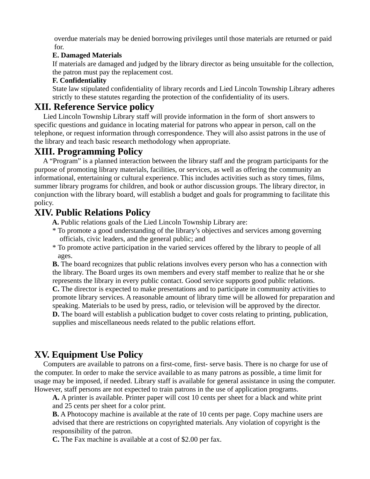overdue materials may be denied borrowing privileges until those materials are returned or paid for.

#### **E. Damaged Materials**

If materials are damaged and judged by the library director as being unsuitable for the collection, the patron must pay the replacement cost.

#### **F. Confidentiality**

State law stipulated confidentiality of library records and Lied Lincoln Township Library adheres strictly to these statutes regarding the protection of the confidentiality of its users.

### **XII. Reference Service policy**

 Lied Lincoln Township Library staff will provide information in the form of short answers to specific questions and guidance in locating material for patrons who appear in person, call on the telephone, or request information through correspondence. They will also assist patrons in the use of the library and teach basic research methodology when appropriate.

### **XIII. Programming Policy**

 A "Program" is a planned interaction between the library staff and the program participants for the purpose of promoting library materials, facilities, or services, as well as offering the community an informational, entertaining or cultural experience. This includes activities such as story times, films, summer library programs for children, and book or author discussion groups. The library director, in conjunction with the library board, will establish a budget and goals for programming to facilitate this policy.

## **XIV. Public Relations Policy**

 **A.** Public relations goals of the Lied Lincoln Township Library are:

- \* To promote a good understanding of the library's objectives and services among governing officials, civic leaders, and the general public; and
- \* To promote active participation in the varied services offered by the library to people of all ages.

**B.** The board recognizes that public relations involves every person who has a connection with the library. The Board urges its own members and every staff member to realize that he or she represents the library in every public contact. Good service supports good public relations. **C.** The director is expected to make presentations and to participate in community activities to promote library services. A reasonable amount of library time will be allowed for preparation and speaking. Materials to be used by press, radio, or television will be approved by the director. **D.** The board will establish a publication budget to cover costs relating to printing, publication, supplies and miscellaneous needs related to the public relations effort.

# **XV. Equipment Use Policy**

 Computers are available to patrons on a first-come, first- serve basis. There is no charge for use of the computer. In order to make the service available to as many patrons as possible, a time limit for usage may be imposed, if needed. Library staff is available for general assistance in using the computer. However, staff persons are not expected to train patrons in the use of application programs.

 **A.** A printer is available. Printer paper will cost 10 cents per sheet for a black and white print and 25 cents per sheet for a color print.

 **B.** A Photocopy machine is available at the rate of 10 cents per page. Copy machine users are advised that there are restrictions on copyrighted materials. Any violation of copyright is the responsibility of the patron.

**C.** The Fax machine is available at a cost of \$2.00 per fax.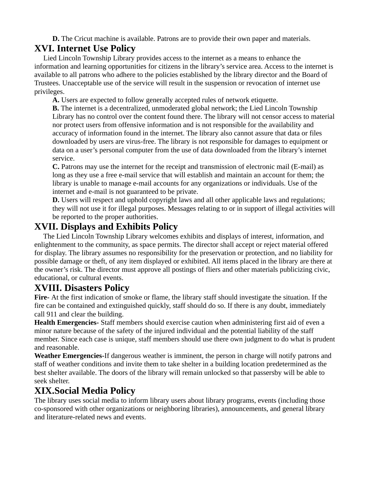**D.** The Cricut machine is available. Patrons are to provide their own paper and materials.

# **XVI. Internet Use Policy**

 Lied Lincoln Township Library provides access to the internet as a means to enhance the information and learning opportunities for citizens in the library's service area. Access to the internet is available to all patrons who adhere to the policies established by the library director and the Board of Trustees. Unacceptable use of the service will result in the suspension or revocation of internet use privileges.

**A.** Users are expected to follow generally accepted rules of network etiquette.

**B.** The internet is a decentralized, unmoderated global network; the Lied Lincoln Township Library has no control over the content found there. The library will not censor access to material nor protect users from offensive information and is not responsible for the availability and accuracy of information found in the internet. The library also cannot assure that data or files downloaded by users are virus-free. The library is not responsible for damages to equipment or data on a user's personal computer from the use of data downloaded from the library's internet service.

 **C.** Patrons may use the internet for the receipt and transmission of electronic mail (E-mail) as long as they use a free e-mail service that will establish and maintain an account for them; the library is unable to manage e-mail accounts for any organizations or individuals. Use of the internet and e-mail is not guaranteed to be private.

**D.** Users will respect and uphold copyright laws and all other applicable laws and regulations; they will not use it for illegal purposes. Messages relating to or in support of illegal activities will be reported to the proper authorities.

# **XVII. Displays and Exhibits Policy**

 The Lied Lincoln Township Library welcomes exhibits and displays of interest, information, and enlightenment to the community, as space permits. The director shall accept or reject material offered for display. The library assumes no responsibility for the preservation or protection, and no liability for possible damage or theft, of any item displayed or exhibited. All items placed in the library are there at the owner's risk. The director must approve all postings of fliers and other materials publicizing civic, educational, or cultural events.

# **XVIII. Disasters Policy**

**Fire-** At the first indication of smoke or flame, the library staff should investigate the situation. If the fire can be contained and extinguished quickly, staff should do so. If there is any doubt, immediately call 911 and clear the building.

**Health Emergencies-** Staff members should exercise caution when administering first aid of even a minor nature because of the safety of the injured individual and the potential liability of the staff member. Since each case is unique, staff members should use there own judgment to do what is prudent and reasonable.

**Weather Emergencies-**If dangerous weather is imminent, the person in charge will notify patrons and staff of weather conditions and invite them to take shelter in a building location predetermined as the best shelter available. The doors of the library will remain unlocked so that passersby will be able to seek shelter.

# **XIX.Social Media Policy**

The library uses social media to inform library users about library programs, events (including those co-sponsored with other organizations or neighboring libraries), announcements, and general library and literature-related news and events.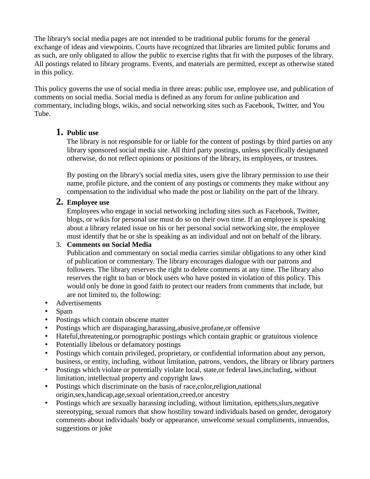The library's social media pages are not intended to be traditional public forums for the general exchange of ideas and viewpoints. Courts have recognized that libraries are limited public forums and as such, are only obligated to allow the public to exercise rights that fit with the purposes of the library. All postings related to library programs. Events, and materials are permitted, except as otherwise stated in this policy.

This policy governs the use of social media in three areas: public use, employee use, and publication of comments on social media. Social media is defined as any forum for online publication and commentary, including blogs, wikis, and social networking sites such as Facebook, Twitter, and You Tube.

#### **1. Public use**

The library is not responsible for or liable for the content of postings by third parties on any library sponsored social media site. All third party postings, unless specifically designated otherwise, do not reflect opinions or positions of the library, its employees, or trustees.

 By posting on the library's social media sites, users give the library permission to use their name, profile picture, and the content of any postings or comments they make without any compensation to the individual who made the post or liability on the part of the library.

#### **2. Employee use**

 Employees who engage in social networking including sites such as Facebook, Twitter, blogs, or wikis for personal use must do so on their own time. If an employee is speaking about a library related issue on his or her personal social networking site, the employee must identify that he or she is speaking as an individual and not on behalf of the library.

#### 3. **Comments on Social Media**

 Publication and commentary on social media carries similar obligations to any other kind of publication or commentary. The library encourages dialogue with our patrons and followers. The library reserves the right to delete comments at any time. The library also reserves the right to ban or block users who have posted in violation of this policy. This would only be done in good faith to protect our readers from comments that include, but are not limited to, the following:

- Advertisements
- Spam
- Postings which contain obscene matter
- Postings which are disparaging,harassing,abusive,profane,or offensive
- Hateful,threatening,or pornographic postings which contain graphic or gratuitous violence
- Potentially libelous or defamatory postings
- Postings which contain privileged, proprietary, or confidential information about any person, business, or entity, including, without limitation, patrons, vendors, the library or library partners
- Postings which violate or potentially violate local, state,or federal laws,including, without limitation, intellectual property and copyright laws
- Postings which discriminate on the basis of race,color,religion,national origin,sex,handicap,age,sexual orientation,creed,or ancestry
- Postings which are sexually harassing including, without limitation, epithets,slurs,negative stereotyping, sexual rumors that show hostility toward individuals based on gender, derogatory comments about individuals' body or appearance, unwelcome sexual compliments, innuendos, suggestions or joke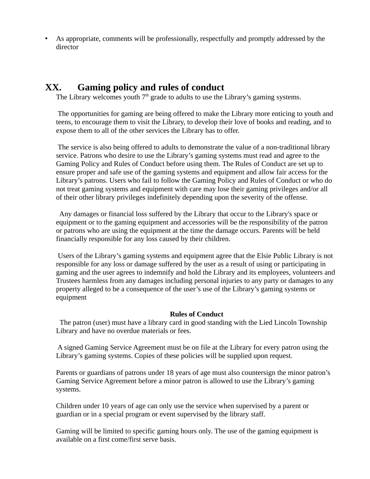• As appropriate, comments will be professionally, respectfully and promptly addressed by the director

### **XX. Gaming policy and rules of conduct**

The Library welcomes youth  $7<sup>th</sup>$  grade to adults to use the Library's gaming systems.

 The opportunities for gaming are being offered to make the Library more enticing to youth and teens, to encourage them to visit the Library, to develop their love of books and reading, and to expose them to all of the other services the Library has to offer.

 The service is also being offered to adults to demonstrate the value of a non-traditional library service. Patrons who desire to use the Library's gaming systems must read and agree to the Gaming Policy and Rules of Conduct before using them. The Rules of Conduct are set up to ensure proper and safe use of the gaming systems and equipment and allow fair access for the Library's patrons. Users who fail to follow the Gaming Policy and Rules of Conduct or who do not treat gaming systems and equipment with care may lose their gaming privileges and/or all of their other library privileges indefinitely depending upon the severity of the offense.

 Any damages or financial loss suffered by the Library that occur to the Library's space or equipment or to the gaming equipment and accessories will be the responsibility of the patron or patrons who are using the equipment at the time the damage occurs. Parents will be held financially responsible for any loss caused by their children.

 Users of the Library's gaming systems and equipment agree that the Elsie Public Library is not responsible for any loss or damage suffered by the user as a result of using or participating in gaming and the user agrees to indemnify and hold the Library and its employees, volunteers and Trustees harmless from any damages including personal injuries to any party or damages to any property alleged to be a consequence of the user's use of the Library's gaming systems or equipment

#### **Rules of Conduct**

The patron (user) must have a library card in good standing with the Lied Lincoln Township Library and have no overdue materials or fees.

 A signed Gaming Service Agreement must be on file at the Library for every patron using the Library's gaming systems. Copies of these policies will be supplied upon request.

Parents or guardians of patrons under 18 years of age must also countersign the minor patron's Gaming Service Agreement before a minor patron is allowed to use the Library's gaming systems.

Children under 10 years of age can only use the service when supervised by a parent or guardian or in a special program or event supervised by the library staff.

Gaming will be limited to specific gaming hours only. The use of the gaming equipment is available on a first come/first serve basis.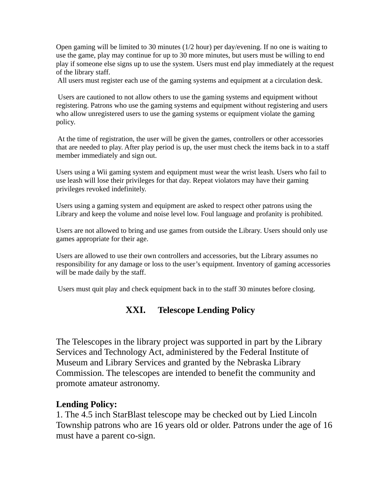Open gaming will be limited to 30 minutes (1/2 hour) per day/evening. If no one is waiting to use the game, play may continue for up to 30 more minutes, but users must be willing to end play if someone else signs up to use the system. Users must end play immediately at the request of the library staff.

All users must register each use of the gaming systems and equipment at a circulation desk.

 Users are cautioned to not allow others to use the gaming systems and equipment without registering. Patrons who use the gaming systems and equipment without registering and users who allow unregistered users to use the gaming systems or equipment violate the gaming policy.

 At the time of registration, the user will be given the games, controllers or other accessories that are needed to play. After play period is up, the user must check the items back in to a staff member immediately and sign out.

Users using a Wii gaming system and equipment must wear the wrist leash. Users who fail to use leash will lose their privileges for that day. Repeat violators may have their gaming privileges revoked indefinitely.

Users using a gaming system and equipment are asked to respect other patrons using the Library and keep the volume and noise level low. Foul language and profanity is prohibited.

Users are not allowed to bring and use games from outside the Library. Users should only use games appropriate for their age.

Users are allowed to use their own controllers and accessories, but the Library assumes no responsibility for any damage or loss to the user's equipment. Inventory of gaming accessories will be made daily by the staff.

Users must quit play and check equipment back in to the staff 30 minutes before closing.

### **XXI. Telescope Lending Policy**

The Telescopes in the library project was supported in part by the Library Services and Technology Act, administered by the Federal Institute of Museum and Library Services and granted by the Nebraska Library Commission. The telescopes are intended to benefit the community and promote amateur astronomy.

### **Lending Policy:**

1. The 4.5 inch StarBlast telescope may be checked out by Lied Lincoln Township patrons who are 16 years old or older. Patrons under the age of 16 must have a parent co-sign.